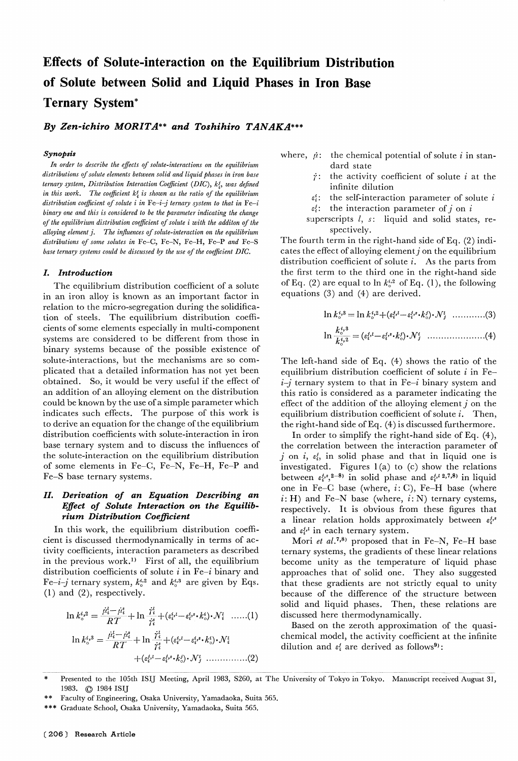# effects of Solute-interaction on the Equilibrium Distribution of Solute between Solid and Liquid Phases in Iron Base Ternary System\*

By Zen-ichiro MORITA\*\* and Toshihiro TANAKA\*\*\*

#### Synopsis

In order to describe the effects of solute-interactions on the equilibrium distributions of solute elements between solid and liquid phases in iron base ternary system, Distribution Interaction Coefficient (DIC),  $k_1^j$ , was defined in this work. The coefficient  $k_i^j$  is shown as the ratio of the equilibrium distribution coefficient of solute i in Fe-i-j ternary system to that in Fe-i binary one and this is considered to be the parameter indicating the change of the equilibrium distribution coefficient of solute i with the additon of the alloying element j. The influences of solute-interaction on the equilibrium distributions of some solutes in Fe-C, Fe-N, Fe-H, Fe-P and Fe-S base ternary systems could be discussed by the use of the coefficient DIG.

### I. Introduction

The equilibrium distribution coefficient of a solute in an iron alloy is known as an important factor in relation to the micro-segregation during the solidification of steels. The equilibrium distribution coefficients of some elements especially in multi-component systems are considered to be different from those in binary systems because of the possible existence of solute-interactions, but the mechanisms are so complicated that a detailed information has not yet been obtained. So, it would be very useful if the effect of an addition of an alloying element on the distribution could be known by the use of a simple parameter which indicates such effects. The purpose of this work is to derive an equation for the change of the equilibrium distribution coefficients with solute-interaction in iron base ternary system and to discuss the influences of the solute-interaction on the equilibrium distribution of some elements in Fe-C, Fe-N, Fe-H, Fe-P and Fe-S base ternary systems.

# II. Derivation of an Equation Describing an Effect of Solute Interaction on the Equilibrium Distribution Coefficient

In this work, the equilibrium distribution coefficient is discussed thermodynamically in terms of activity coefficients, interaction parameters as described in the previous work.<sup>1)</sup> First of all, the equilibrium distribution coefficients of solute  $i$  in Fe-i binary and Fe-i-j ternary system,  $k_0^{i,2}$  and  $k_0^{i,3}$  are given by Eqs. (1) and (2), respectively.

$$
\ln k_{\circ}^{i,2} = \frac{\dot{\mu}_i^l - \dot{\mu}_i^s}{RT} + \ln \frac{\dot{\gamma}_i^l}{\dot{\gamma}_i^s} + (\varepsilon_i^{i,1} - \varepsilon_i^{i,1} \cdot k_{\circ}^i) \cdot \mathcal{N}_i^l \quad \dots \dots (1) \qquad \begin{array}{c} \text{solid} \\ \text{discu} \\ \text{Ba} \end{array}
$$
\n
$$
\ln k_{\circ}^{i,3} = \frac{\dot{\mu}_i^l - \dot{\mu}_i^s}{RT} + \ln \frac{\dot{\gamma}_i^l}{\dot{\gamma}_i^s} + (\varepsilon_i^{i,1} - \varepsilon_i^{i,2} \cdot k_{\circ}^i) \cdot \mathcal{N}_i^l \qquad \begin{array}{c} \text{chem} \\ \text{cliuti} \\ \text{diluti} \end{array}
$$

- where,  $\dot{\mu}$ : the chemical potential of solute *i* in standard state
	- $\dot{r}$ : the activity coefficient of solute i at the infinite dilution
	- $\varepsilon_i^i$ : the self-interaction parameter of solute i  $\varepsilon_i^j$ : the interaction parameter of j on i
	- superscripts  $l$ ,  $s$ : liquid and solid states, re-

spectively. The fourth term in the right-hand side of Eq. (2) indicates the effect of alloying element  $j$  on the equilibrium distribution coefficient of solute  $i$ . As the parts from the first term to the third one in the right-hand side of Eq. (2) are equal to  $\ln k_{\circ}^{i,2}$  of Eq. (1), the following equations (3) and (4) are derived.

$$
\ln k_{\circ}^{i,3} = \ln k_{\circ}^{i,2} + (\epsilon_i^{j,i} - \epsilon_i^{j,s} \cdot k_{\circ}^{j}) \cdot \mathcal{N}_j^{i} \quad .........(3)
$$
  

$$
\ln \frac{k_{\circ}^{i,3}}{k_{\circ}^{i,2}} = (\epsilon_i^{j,i} - \epsilon_i^{j,s} \cdot k_{\circ}^{j}) \cdot \mathcal{N}_j^{i} \quad .........(4)
$$

The left-hand side of Eq. (4) shows the ratio of the equilibrium distribution coefficient of solute  $i$  in Fe $i-j$  ternary system to that in Fe-i binary system and this ratio is considered as a parameter indicating the effect of the addition of the alloying element  $j$  on the equilibrium distribution coefficient of solute  $i$ . Then, the right-hand side of Eq. (4) is discussed furthermore.

In order to simplify the right-hand side of Eq. (4), the correlation between the interaction parameter of j on i,  $\varepsilon_i^j$ , in solid phase and that in liquid one is investigated. Figures  $1(a)$  to  $(c)$  show the relations between  $\varepsilon_i^{j,s},^{2-8}$  in solid phase and  $\varepsilon_i^{j,l}$  2,7,8) in liquid one in Fe-C base (where,  $i: C$ ), Fe-H base (where  $i: H$ ) and Fe-N base (where,  $i: N$ ) ternary cystems, respectively. It is obvious from these figures that a linear relation holds approximately between  $\varepsilon_i^{j,s}$ and  $\varepsilon_i^{j,l}$  in each ternary system.

Mori et al.<sup>7,8)</sup> proposed that in Fe-N, Fe-H base ternary systems, the gradients of these linear relations become unity as the temperature of liquid phase approaches that of solid one. They also suggested that these gradients are not strictly equal to unity because of the difference of the structure between solid and liquid phases. Then, these relations are discussed here thermodynamically.

Based on the zeroth approximation of the quasichemical model, the activity coefficient at the infinite dilution and  $\varepsilon_i^j$  are derived as follows<sup>9</sup>):

\*\* Faculty of Engineering, Osaka University, Yamadaoka, Suita 565.

Presented to the 105th ISIJ Meeting, April 1983, S260, at The University of Tokyo in Tokyo. Manuscript received August 31 1983. © 1984ISIJ

Graduate School, Osaka University, Yamadaoka, Suita 565.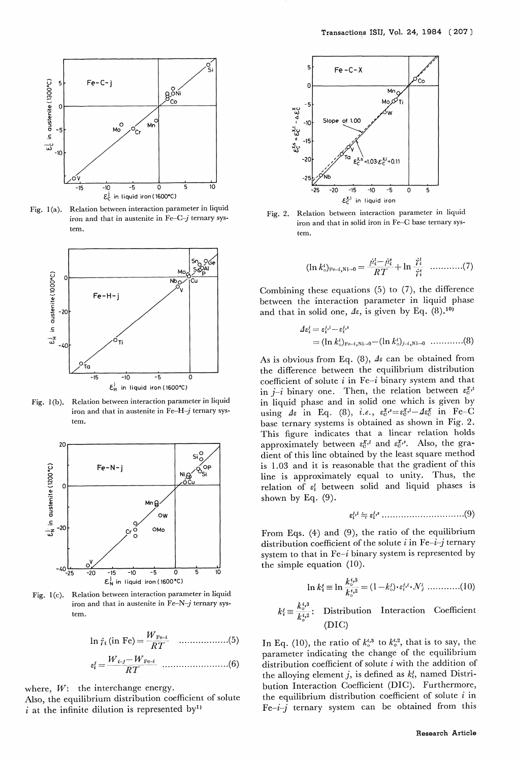

Fig. 1(a). Relation between interaction parameter in liquid iron and that in austenite in  $Fe-C-j$  ternary system.



Fig. 1(b). Relation between interaction parameter in liquid iron and that in austenite in Fe-H- $j$  ternary system.



Fig. 1(c). Relation between interaction parameter in liquid iron and that in austenite in Fe-N- $j$  ternary system.

In ri (in Fe) = W i-3- WFe-i RT wFe-i (5)

RT (6)

where,  $W$ : the interchange energy.

 $\varepsilon_i^j$  :

Also, the equilibrium distribution coefficient of solu i at the infinite dilution is represented by<sup>1)</sup>



Fig. 2. Relation between interaction parameter in liquid iron and that in solid iron in Fe-C base ternary system.

$$
(\ln k_{\circ}^{i})_{\mathrm{Fe-}i,\mathrm{Ni}\to 0} = \frac{\dot{\mu}_{i}^{i}-\dot{\mu}_{i}^{s}}{RT} + \ln \frac{\dot{\tau}_{i}^{i}}{\dot{\tau}_{i}^{s}} \quad \ldots \ldots \ldots \ldots (7)
$$

Combining these equations  $(5)$  to  $(7)$ , the difference between the interaction parameter in liquid phase and that in solid one,  $\Delta \varepsilon$ , is given by Eq. (8).<sup>10)</sup>

$$
\mathcal{A}\varepsilon_i^j = \varepsilon_i^{j,l} - \varepsilon_i^{j,s}
$$
  
=  $(\ln k_0^i)_{F^{c-i}, Ni\to 0} - (\ln k_0^i)_{j-i, Ni\to 0}$  .........(8)

As is obvious from Eq. (8),  $\Delta \varepsilon$  can be obtained from the difference between the equilibrium distribution coefficient of solute  $i$  in Fe-i binary system and that in  $j-i$  binary one. Then, the relation between  $\varepsilon_0^{x,\iota}$ in liquid phase and in solid one which is given by using  $\Delta \varepsilon$  in Eq. (8), i.e.,  $\varepsilon_0^{x,s} = \varepsilon_0^{x,l} - \Delta \varepsilon_0^x$  in Fe-C base ternary systems is obtained as shown in Fig. 2. This figure indicates that a linear relation holds approximately between  $\varepsilon_0^x$  and  $\varepsilon_0^x$ . Also, the gradient of this line obtained by the least square method is 1.03 and it is reasonable that the gradient of this line is approximately equal to unity. Thus, the relation of  $\varepsilon_i^j$  between solid and liquid phases is shown by Eq. (9).

e,' =E'S ..............................(9)

From Eqs. (4) and (9), the ratio of the equilibrium distribution coefficient of the solute  $i$  in Fe- $i$ -j ternary system to that in  $Fe-i$  binary system is represented by the simple equation (10).

$$
\ln k_i^j \equiv \ln \frac{k_o^{i,3}}{k_o^{i,2}} = (1 - k_o^j) \cdot \varepsilon_i^{j,i} \cdot \mathcal{N}_j^{i} \dots \dots \dots \dots (10)
$$

$$
k_i^j \equiv \frac{k_o^{i,3}}{k_o^{i,2}}: \quad \text{Distribution} \quad \text{Interaction} \quad \text{Coefficient} \tag{DIC}
$$

In Eq. (10), the ratio of  $k_0^{i,3}$  to  $k_0^{i,2}$ , that is to say, the parameter indicating the change of the equilibrium distribution coefficient of solute i with the addition of the alloying element j, is defined as  $k_i$ , named Distribution Interaction Coefficient (DIC). Furthermore, the equilibrium distribution coefficient of solute  $i$  in  $Fe-i-j$  ternary system can be obtained from this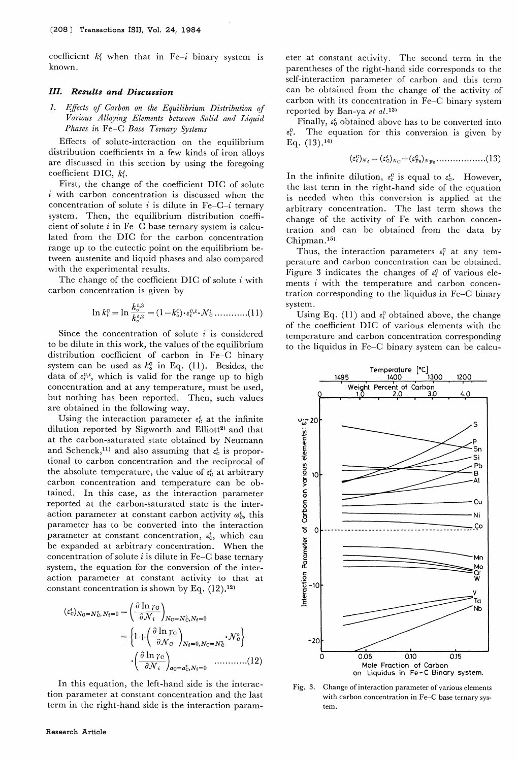coefficient  $k_i^j$  when that in Fe-i binary system is known.

# III. Results and Discussion

1. Effects of Carbon on the Equilibrium Distribution of Various Alloying Elements between Solid and Liquid Phases in Fe-C Base Ternary Systems

Effects of solute-interaction on the equilibrium distribution coefficients in a few kinds of iron alloys are discussed in this section by using the foregoing coefficient DIC,  $k_i^j$ .

First, the change of the coefficient DIC of solute  $i$  with carbon concentration is discussed when the concentration of solute *i* is dilute in Fe-C-*i* ternary system. Then, the equilibrium distribution coefficient of solute  $i$  in Fe-C base ternary system is calculated from the DIC for the carbon concentration range up to the eutectic point on the equilibrium between austenite and liquid phases and also compared with the experimental results.

The change of the coefficient DIC of solute  $i$  with carbon concentration is given by

$$
\ln k_i^c = \ln \frac{k_o^{i,3}}{k_o^{i,2}} = (1 - k_o^c) \cdot \varepsilon_i^{c, i} \cdot \mathcal{N}_c^{i} \dots \dots \dots \dots (11)
$$

Since the concentration of solute  $i$  is considered to be dilute in this work, the values of the equilibrium distribution coefficient of carbon in Fe-C binary system can be used as  $k_{\circ}^{\text{c}}$  in Eq. (11). Besides, the data of  $\varepsilon_i^{0,l}$ , which is valid for the range up to high concentration and at any temperature, must be used, but nothing has been reported. Then, such values are obtained in the following way.

Using the interaction parameter  $\varepsilon_0^i$  at the infinite dilution reported by Sigworth and Elliott<sup>2)</sup> and that at the carbon-saturated state obtained by Neumann and Schenck,<sup>11)</sup> and also assuming that  $\varepsilon_0^i$  is proportional to carbon concentration and the reciprocal of the absolute temperature, the value of  $\varepsilon_c^i$  at arbitrary carbon concentration and temperature can be obtained. In this case, as the interaction parameter reported at the carbon-saturated state is the interaction parameter at constant carbon activity  $\omega_0^i$ , this parameter has to be converted into the interaction parameter at constant concentration,  $\varepsilon_c^i$ , which can be expanded at arbitrary concentration. When the concentration of solute  $i$  is dilute in Fe-C base ternary system, the equation for the conversion of the interaction parameter at constant activity to that at constant concentration is shown by Eq.  $(12)$ ,  $^{12}$ )

$$
\begin{split} (\varepsilon_{\rm c}^{\rm t})_{N_{\rm G}=N_{\rm C}^{\circ}, N_{\rm t}=0} &= \left(\frac{\partial \ln \gamma_{\rm C}}{\partial \mathcal{N}_{\rm t}}\right)_{N_{\rm C}=N_{\rm C}^{\circ}, N_{\rm t}=0} \\ &= \left\{1 + \left(\frac{\partial \ln \gamma_{\rm C}}{\partial \mathcal{N}_{\rm C}}\right)_{N_{\rm t}=0, N_{\rm C}=N_{\rm C}^{\circ}}, \mathcal{N}_{\rm C}^{\circ}\right\} \\ &\cdot \left(\frac{\partial \ln \gamma_{\rm C}}{\partial \mathcal{N}_{\rm t}}\right)_{a_{\rm C}=a_{\rm C}^{\circ}, N_{\rm t}=0} \quad \ldots \ldots \ldots \ldots (12) \end{split}
$$

In this equation, the left-hand side is the interaction parameter at constant concentration and the last term in the right-hand side is the interaction parameter at constant activity. The second term in the parentheses of the right-hand side corresponds to the self-interaction parameter of carbon and this term can be obtained from the change of the activity of carbon with its concentration in Fe-C binary system reported by Ban-ya et  $al$ .<sup>13)</sup>

Finally,  $\varepsilon_c^i$  obtained above has to be converted into The equation for this conversion is given by Eq.  $(13).^{14}$ 

$$
(\varepsilon_i^{\rm c})_{N_i} = (\varepsilon_{\rm c}^i)_{N_{\rm C}} + (\varepsilon_{\rm Fe}^{\rm c})_{N_{\rm Fe}} \dots \dots \dots \dots \dots (13)
$$

In the infinite dilution,  $\varepsilon_i^c$  is equal to  $\varepsilon_0^i$ . However, the last term in the right-hand side of the equation is needed when this conversion is applied at the arbitrary concentration. The last term shows the change of the activity of Fe with carbon concentration and can be obtained from the data by Chipman.15)

Thus, the interaction parameters  $\varepsilon_i^c$  at any temperature and carbon concentration can be obtained. Figure 3 indicates the changes of  $\varepsilon_i^c$  of various elements i with the temperature and carbon concentration corresponding to the liquidus in Fe-C binary system.

Using Eq. (11) and  $\varepsilon_i^c$  obtained above, the change of the coefficient DIC of various elements with the temperature and carbon concentration corresponding to the liquidus in Fe-C binary system can be calcu-



Fig, 3. Change of interaction parameter of various elements with carbon concentration in Fe-C base ternary system.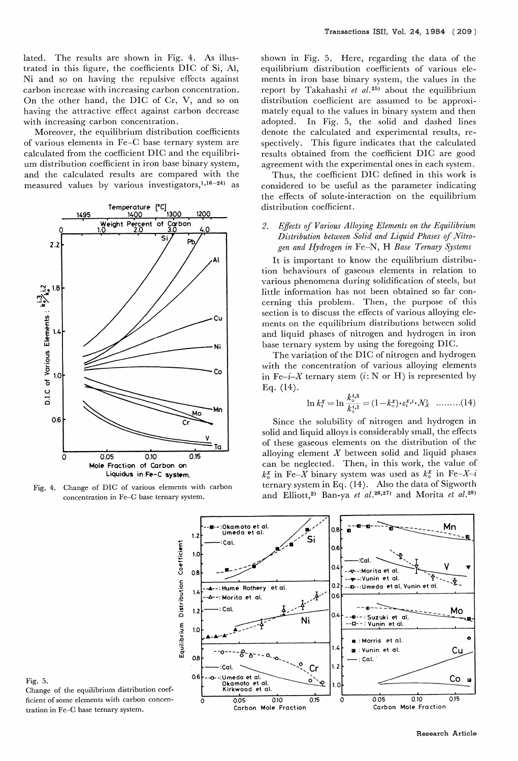lated. The results are shown in Fig. 4. As illustrated in this figure, the coefficients DIC of Si, Al, Ni and so on having the repulsive effects against carbon increase with increasing carbon concentration. On the other hand, the DIC of Cr, V, and so on having the attractive effect against carbon decrease with increasing carbon concentration.

Moreover, the equilibrium distribution coefficients of various elements in Fe-C base ternary system are calculated from the coefficient DIC and the equilibrium distribution coefficient in iron base binary system, and the calculated results are compared with the measured values by various investigators,  $1,16-24$ ) as



Fig. 4. Change of DIC of various elements with carbe concentration in Fe-C base ternary system.

shown in Fig. 5. Here, regarding the data of the equilibrium distribution coefficients of various elements in iron base binary system, the values in the report by Takahashi et  $al.^{25}$  about the equilibrium distribution coefficient are assumed to be approximately equal to the values in binary system and then adopted. In Fig. 5, the solid and dashed lines denote the calculated and experimental results, respectively. This figure indicates that the calculated results obtained from the coefficient DIC are good agreement with the experimental ones in each system.

Thus, the coefficient DIG defined in this work is considered to be useful as the parameter indicating the effects of solute-interaction on the equilibrium distribution coefficient.

# 2. Effects of Various Alloying Elements on the Equilibrium Distribution between Solid and Liquid Phases of Nitrogen and Hydrogen in Fe-N, H Base Ternary Systems

It is important to know the equilibrium distribution behaviours of gaseous elements in relation to various phenomena during solidification of steels, but little information has not been obtained so far concerning this problem. Then, the purpose of this section is to discuss the effects of various alloying elements on the equilibrium distributions between solid and liquid phases of nitrogen and hydrogen in iron base ternary system by using the foregoing DIC.

The variation of the DIG of nitrogen and hydrogen with the concentration of various alloying elements in Fe-i-X ternary stem  $(i: N \text{ or } H)$  is represented by Eq. (14).

$$
\ln k_i^x = \ln \frac{k_o^{t,3}}{k_o^{t,2}} = (1 - k_o^x) \cdot \varepsilon_i^x \cdot k \cdot \mathcal{N}_x^t \quad \dots \dots \dots (14)
$$

 Since the solubility of nitrogen and hydrogen in solid and liquid alloys is considerably small, the effects of these gaseous elements on the distribution of the alloying element  $X$  between solid and liquid phases can be neglected. Then, in this work, the value of  $k_{\circ}$  in Fe-X binary system was used as  $k_{\circ}$  in Fe-X-i ternary system in Eq. (14). Also the data of Sigworth and Elliott,<sup>2)</sup> Ban-ya et al.<sup>26,27)</sup> and Morita et al.<sup>28)</sup>



Fig. 5. Change of the equilibrium distribution coefficient of some elements with carbon concentration in Fe-C base ternary system.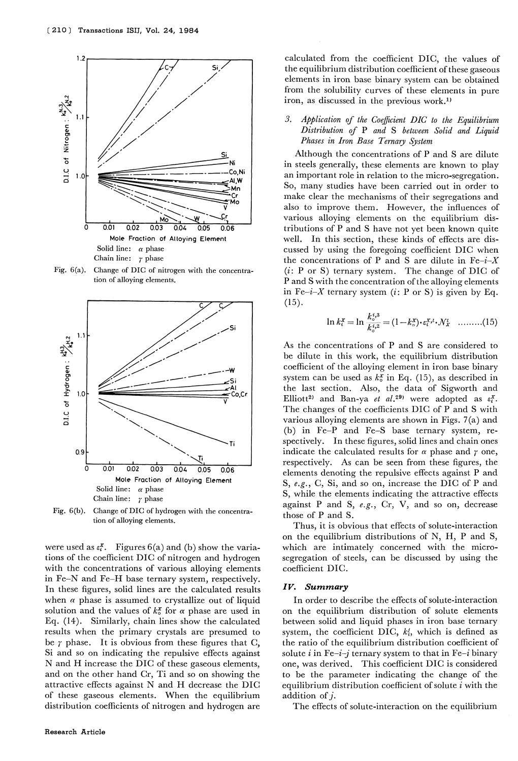

Fig.  $6(a)$ . Change of DIC of nitrogen with the concentraltion of alloying elements.



Fig. 6(b). Change of DIC of hydrogen with the concentration of alloying elements.

were used as  $\varepsilon_i^x$ . Figures 6(a) and (b) show the variations of the coefficient DIC of nitrogen and hydrogen with the concentrations of various alloying elements in Fe-N and Fe-H base ternary system, respectively. In these figures, solid lines are the calculated results when  $\alpha$  phase is assumed to crystallize out of liquid solution and the values of  $k_{\circ}^{x}$  for  $\alpha$  phase are used in Eq. (14). Similarly, chain lines show the calculated results when the primary crystals are presumed to be  $\gamma$  phase. It is obvious from these figures that C, Si and so on indicating the repulsive effects against N and H increase the DIC of these gaseous elements, and on the other hand Cr, Ti and so on showing the attractive effects against N and H decrease the DIC of these gaseous elements. When the equilibrium distribution coefficients of nitrogen and hydrogen are

calculated from the coefficient DIC, the values of the equilibrium distribution coefficient of these gaseous elements in iron base binary system can be obtained from the solubility curves of these elements in pure iron, as discussed in the previous work.<sup>1)</sup>

## 3. Application of the Coefficient DIC to the Equilibrium Distribution of P and S between Solid and Liquid Phases in Iron Base Ternary System

Although the concentrations of P and S are dilute in steels generally, these elements are known to play an important role in relation to the micro-segregation. So, many studies have been carried out in order to make clear the mechanisms of their segregations and also to improve them. However, the influences of various alloying elements on the equilibrium distributions of P and S have not yet been known quite well. In this section, these kinds of effects are discussed by using the foregoing coefficient DIC when the concentrations of P and S are dilute in  $Fe-i-X$ (i: P or S) ternary system. The change of DIC of P and S with the concentration of the alloying elements in Fe-i-X ternary system (i: P or S) is given by Eq. (15).

$$
\ln k_i^x = \ln \frac{k_o^{i,3}}{k_o^{i,2}} = (1 - k_o^x) \cdot \varepsilon_i^x \cdot k_i^y \quad \dots \dots \dots (15)
$$

As the concentrations of P and S are considered to be dilute in this work, the equilibrium distribution coefficient of the alloying element in iron base binary system can be used as  $k_0^x$  in Eq. (15), as described in the last section. Also, the data of Sigworth and Elliott<sup>2</sup> and Ban-ya et al.<sup>29</sup> were adopted as  $\varepsilon_i^X$ . The changes of the coefficients DIC of P and S with various alloying elements are shown in Figs. 7(a) and (b) in Fe-P and Fe-S base ternary system, respectively. In these figures, solid lines and chain ones indicate the calculated results for  $\alpha$  phase and  $\gamma$  one, respectively. As can be seen from these figures, the elements denoting the repulsive effects against P and S, e.g., C, Si, and so on, increase the DIC of P and S, while the elements indicating the attractive effects against P and S,  $e.g., Cr, V, and so on, decrease$ those of P and S.

Thus, it is obvious that effects of solute-interaction on the equilibrium distributions of N, H, P and S, which are intimately concerned with the microsegregation of steels, can be discussed by using the coefficient DIC.

### Iv. Summary

In order to describe the effects of solute-interaction on the equilibrium distribution of solute elements between solid and liquid phases in iron base ternary system, the coefficient DIC,  $k_i$ , which is defined as the ratio of the equilibrium distribution coefficient of solute i in Fe-i-j ternary system to that in Fe-i binary one, was derived. This coefficient DIC is considered to be the parameter indicating the change of the equilibrium distribution coefficient of solute  $i$  with the addition of j.

The effects of solute-interaction on the equilibrium